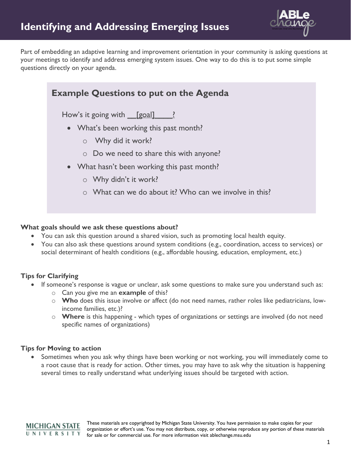

Part of embedding an adaptive learning and improvement orientation in your community is asking questions at your meetings to identify and address emerging system issues. One way to do this is to put some simple questions directly on your agenda.

| <b>Example Questions to put on the Agenda</b>          |
|--------------------------------------------------------|
| How's it going with [goal] ?                           |
| • What's been working this past month?                 |
| Why did it work?<br>$\bigcirc$                         |
| $\circ$ Do we need to share this with anyone?          |
| • What hasn't been working this past month?            |
| $\circ$ Why didn't it work?                            |
| o What can we do about it? Who can we involve in this? |
|                                                        |

## **What goals should we ask these questions about?**

- You can ask this question around a shared vision, such as promoting local health equity.
- You can also ask these questions around system conditions (e.g., coordination, access to services) or social determinant of health conditions (e.g., affordable housing, education, employment, etc.)

## **Tips for Clarifying**

- If someone's response is vague or unclear, ask some questions to make sure you understand such as:
	- o Can you give me an **example** of this?
	- o **Who** does this issue involve or affect (do not need names, rather roles like pediatricians, lowincome families, etc.)?
	- o **Where** is this happening which types of organizations or settings are involved (do not need specific names of organizations)

## **Tips for Moving to action**

Sometimes when you ask why things have been working or not working, you will immediately come to a root cause that is ready for action. Other times, you may have to ask why the situation is happening several times to really understand what underlying issues should be targeted with action.